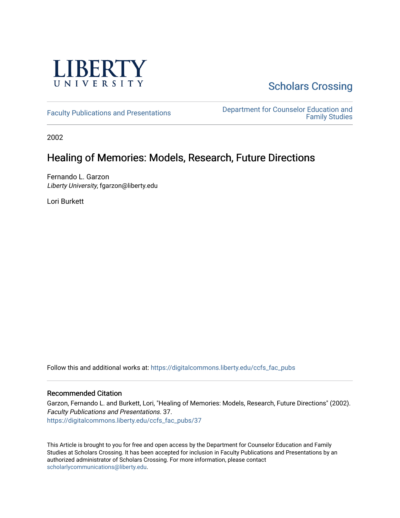

# **Scholars Crossing**

[Faculty Publications and Presentations](https://digitalcommons.liberty.edu/ccfs_fac_pubs) **Department for Counselor Education and** [Family Studies](https://digitalcommons.liberty.edu/ccfs) 

2002

# Healing of Memories: Models, Research, Future Directions

Fernando L. Garzon Liberty University, fgarzon@liberty.edu

Lori Burkett

Follow this and additional works at: [https://digitalcommons.liberty.edu/ccfs\\_fac\\_pubs](https://digitalcommons.liberty.edu/ccfs_fac_pubs?utm_source=digitalcommons.liberty.edu%2Fccfs_fac_pubs%2F37&utm_medium=PDF&utm_campaign=PDFCoverPages)

# Recommended Citation

Garzon, Fernando L. and Burkett, Lori, "Healing of Memories: Models, Research, Future Directions" (2002). Faculty Publications and Presentations. 37. [https://digitalcommons.liberty.edu/ccfs\\_fac\\_pubs/37](https://digitalcommons.liberty.edu/ccfs_fac_pubs/37?utm_source=digitalcommons.liberty.edu%2Fccfs_fac_pubs%2F37&utm_medium=PDF&utm_campaign=PDFCoverPages) 

This Article is brought to you for free and open access by the Department for Counselor Education and Family Studies at Scholars Crossing. It has been accepted for inclusion in Faculty Publications and Presentations by an authorized administrator of Scholars Crossing. For more information, please contact [scholarlycommunications@liberty.edu.](mailto:scholarlycommunications@liberty.edu)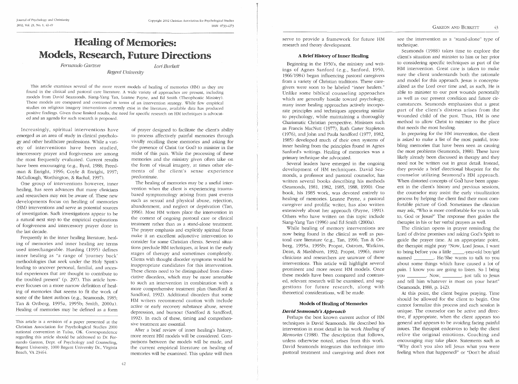# **Healing of Memories: Models, Research, Future Directions**

Fernando Garzon

Lori Burkett

Regent University

This article examines several of the more recent models of healing of memories (HM) as they are found in the clinical and pastoral care literature. A wide variety of approaches are present, including models from David Seamonds, Siang-Yang Tan, Leanne Payne, and Ed Smith (Theophostic Ministry). These models are compared and contrasted in terms of an intervention strategy. While few empirical studies on religious imagery interventions currently exist in the literature, available data has produced positive findings. Given these limited results, the need for specific research on HM techniques is advocated and an agenda for such research is proposed.

Increasingly, spiritual interventions have emerged as an area of study in clinical psychology and other healthcare professions. While a variety of interventions have been studied, intercessory prayer and forgiveness are among the most frequently evaluated. Current results have been encouraging (e.g., Byrd, 1988; Freedman & Enright, 1996; Coyle & Enright, 1997; McCullough, Worthington, & Rachal, 1997).

One group of interventions however, inner healing, has seen advances that many clinicians and researchers may not be aware of. These new developments focus on healing of memories (HM) interventions and serve as potential sources of investigation. Such investigations appear to be a natural next step to the empirical explorations of forgiveness and intercessory prayer done in the last decade.

Frequently in the inner healing literature, healing of memories and inner healing are terms used interchangeable. Hurding (1995) defines inner healing as "a range of 'journey back' methodologies that seek under the Holy Spirit's leading to uncover personal, familial, and ancestral experiences that are thought to contribute to the troubled present" (p. 297). This article however focuses on a more narrow definition of healing of memories that seems to fit the work of some of the latest authors (e.g., Seamonds, 1985; Tan & Ortberg, 1995a, 1995b; Smith, 2000a). Healing of memories may be defined as a form

This article is a revision of a paper presented at the Christian Association for Psychological Studies 2000 national convention in Tulsa, OK. Correspondence regarding this article should be addressed to Dr. Fernando Garzon, Dept. of Psychology and Counseling, Regent University, 1000 Regent University Dr., Virginia Beach, VA 23464.

of prayer designed to facilitate the client's ability to process affectively painful memories through vividly recalling these memories and asking for the presence of Christ (or God) to minister in the midst of this pain. While the processing of these memories and the ministry given often take on the form of visual imagery, at times other elements of the client's sense experience predominate.

The healing of memories may be a useful intervention when the client is experiencing traumabased symptomology arising from past events such as sexual and physical abuse, rejection, abandonment, and neglect or deprivation (Tan, 1996). Most HM writers place the intervention in the context of ongoing pastoral care or clinical treatment rather than as a stand-alone treatment. The prayer emphasis and explicitly spiritual focus make it an excellent adjunctive intervention to consider for some Christian clients. Several situations preclude HM techniques, at least in the early stages of therapy and sometimes completely. Clients with thought disorder symptoms would be inappropriate candidates for this intervention. These clients need to be distinguished from dissociative disorders, which may be more amenable to such an intervention in combination with a more comprehensive treatment plan (Sandford & Sandford, 1992). Additional disorders that some HM writers recommend caution with include active or early recovery substance abuse, severe depression, and burnout (Sandford & Sandford, 1992). In each of these, timing and comprehensive treatment are essential.

After a brief review of inner healing's history, more recent HM models will be considered. Comparisons between the models will be made, and the current empirical literature on healing of memories will be examined. This update will then

serve to provide a framework for future HM research and theory development.

### A Brief History of Inner Healing

Beginning in the 1950's, the ministry and writings of Agnes Sanford (e.g., Sanford, 1950, 1966/1984) began influencing pastoral caregivers from a variety of Christian traditions. These caregivers were soon to be labeled "inner healers." Unlike some biblical counseling approaches which are generally hostile toward psychology, many inner healing approaches actively incorporate principles and techniques appearing similar to psychology, while maintaining a thoroughly Charismatic Christian perspective. Ministers such as Francis MacNutt (1977), Ruth Carter Stapleton (1976), and John and Paula Sandford (1977, 1982, 1985) developed much of their own systems of inner healing from the principles found in Agnes Sanford's writings. Healing of memories was a primary technique she advocated.

Several leaders have emerged in the ongoing development of HM techniques. David Seamonds, a professor and pastoral counselor, has written several books describing his methods (Seamonds, 1981, 1982, 1985, 1988, 1990). One book, his 1985 work, was devoted entirely to healing of memories. Leanne Payne, a pastoral caregiver and prolific writer, has also written extensively about her approach (Payne, 1991). Others who have written on this topic include Siang-Yang Tan (1996) and Ed Smith (2000a).

While healing of memory interventions are now being found in the clinical as well as pastoral care literature (e.g., Tan, 1996; Tan & Ortberg, 1995a, 1995b; Propst, Ostrom, Watkins, Dean, & Mashburn, 1992; Propst, 1996), many clinicians and researchers are unaware of these interventions. This article will highlight several prominent and more recent HM models. Once these models have been compared and contrasted, relevant research will be examined, and suggestions for future research, along with theoretical considerations, will be made.

### **Models of Healing of Memories**

## David Seamonds's Approach

Perhaps the best known current author of HM techniques is David Seamonds. He described his intervention in most detail in his work Healing of Memories (1988). The description that follows, unless otherwise noted, arises from this work. David Seamonds integrates this technique into pastoral treatment and caregiving and does not

see the intervention as a "stand-alone" type of technique.

Seamonds (1988) takes time to explore the client's situation and minister to him or her prior to considering specific techniques as part of the HM intervention. Great care is taken to make sure the client understands both the rationale and model for this approach. Jesus is conceptualized as the Lord over time and, as such, He is able to minister to our past wounds personally as well as our present condition and future circumstances. Seamonds emphasizes that a great part of the client's distress arises from the wounded child of the past. Thus, HM is one method to allow Christ to minister to the place that needs the most healing.

In preparing for the HM intervention, the client is asked to make a list of the most painful, troubling memories that have been seen as causing the most problems (Seamonds, 1988). These have likely already been discussed in therapy and they need not be written out in great detail. Instead, they provide a brief directional blueprint for the counselor utilizing Seamond's HM approach. When distorted concepts of God have been apparent in the client's history and previous sessions, the counselor may assist the early visualization process by helping the client find their most comfortable picture of God. Sometimes the clinician may ask, "Who is more comfortable for you to talk to, God or Jesus?" The response then guides the therapist in his or her verbal prayers as well.

The clinician opens in prayer reminding the Lord of divine promises and asking God's Spirit to guide the prayer time. At an appropriate point, the therapist might pray "Now, Lord Jesus, I want to bring before you a little \_\_\_\_\_-year-old boy/girl named \_\_\_\_\_\_\_\_. He/She wants to talk to you about some things which have caused a lot of pain. I know you are going to listen. So I bring you \_\_\_\_\_\_\_\_\_. Now, \_\_\_\_\_\_\_\_\_, just talk to Jesus and tell him whatever is most on your heart" (Seamonds, 1988, p. 142).

At this point, the client begins praying. Time should be allowed for the client to begin. One cannot formalize this process and each session is unique. The counselor can be active and directive, if appropriate, when the client appears too general and appears to be avoiding facing painful issues. The therapist endeavors to help the client relive the original emotions. Coaching and encouraging may take place. Statements such as "Why don't you also tell Jesus what you were feeling when that happened?" or "Don't be afraid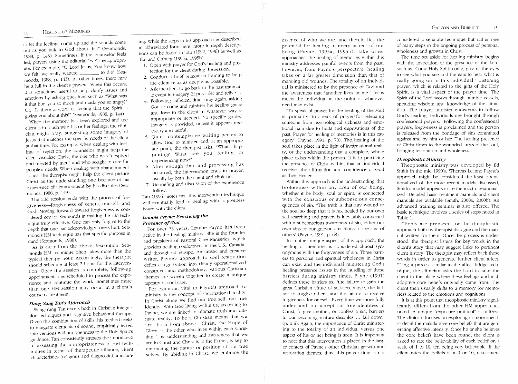#### **HEALING OF MEMORIES**  $\overline{44}$

to let the feelings come up and the sounds come out as you talk to God about that" (Seamonds, 1988, p. 143). Sometimes, if the counselor feels led, prayers using the editorial "we" are appropriate. For example, "0 Lord Jesus, You know how we felt, we really wanted \_\_\_\_\_ to die" (Seamonds, 1988, p. 143). At other times, there may be a lull in the client's prayers. When this occurs, it is sometimes useful to help clarify issues and emotions by asking questions such as "What was it that hurt you so much and made you so angry?" Or "Is there a word or feeling that the Spirit is giving you about this?" (Seamonds, 1988, p. 144).

When the memory has been explored and the client is in touch with his or her feelings, the clinician might pray, suggesting some imagery of Jesus that matches the specific needs of the client 'at that time. For example, when dealing with feelings of rejection, the counselor might help the *bI* elient visualize Christ, the one who was "despised and rejected by men" and who sought to care for people's needs. When dealing with abandonment issues, the therapist might help the client picture Christ as the understanding one because of his experience of abandonment by his disciples (Seamonds, 1988, p. 149).

The HM session ends with the process of forgiveness-forgiveness of others, oneself, and God. Moving forward toward forgiveness is considered key for Seamonds in making the HM technique truly effective. One can only forgive to the depth that one has acknowledged one's hurt. Seamond's HM technique has that specific purpose in mind (Seamonds, 1988).

As is clear from the above description, Seamonds HM technique often takes more than the typical therapy hour. Accordingly, the therapist should schedule at least 2 hours for this intervention. Once the session is complete, follow-up appointments are scheduled to process the experience and continue the work. Sometimes more than one EM session may occur in a client's course of treatment.

# *Siallg-Yallg Tall's Approac/J*

Siang-Yang Tan excels both in Christian integration techniques and cognitive behavioral therapy. Given this combination of skills, his method seeks to integrate elements of sound, empirically tested interventions with an openness to the Holy Spirit's guidance. Tan consistently stresses the importance of assessing the appropriateness of HM techniques in terms of therapeutic alliance, client characteristics (religious and diagnostic), and timing. While the steps to his approach are described in abbreviated form here, more in-depth descriptions can be found in Tan (1992, 1996) as well as Tan and Ortberg (1995a, 1995b):

- 1. Open with prayer for God's healing and protection for the client during the session.
- 2. Conduct a brief relaxation training to help the client relax as deeply as possible.
- 3. Ask the client to go back to the past traumatic event in imagery (if possible) and relive it.
- 4. Following sufficient time, pray again, asking God to come and minister his healing grace and love to the client in whatever way is appropriate or needed. No specific guided imagery is provided, unless it appears necessary and useful.
- 5. Quiet, contemplative waiting occurs to allow God to minister, and, at an appropriate point, the therapist asks, "What's happening? What are you feeling or experiencing now?"
- 6. After enough time and processing has occurred, the intervention ends in prayer, usually by both the client and clinician.
- 7. Debriefing and discussion of the experience follow.

Tan (1996) notes that this intervention technique will eventually lead to dealing with forgiveness issues with the client.

## *Leanne Payne: Practicing tbe Presence of God*

For over 25 years, Leanne Payne has been active in the healing ministry. She is the founder and president of Pastoral Care Ministries, which provides healing conferences in the U.S., Canada, and throughout Europe. An artistic and creative writer, Payne's approach to soul restoration defies categorization into clearly operationalized constructs and methodology. Various Christian themes are woven together to create a unique tapestry of soul care.

For example, vital to Payne's approach to ministry is the concept of incarnational reality. In Christ alone we find our true self, our true identity. With God living within us, according to Payne, we are linked to ultimate truth and ultimate reality. To be a Christian means that we are "born from above." Christ, the Hope of Glory, is the other who lives within each Christian. This understanding and awareness that we are in Christ and Christ is in the Father, is key to embracing the nature or position of our true selves. By abiding in Christ, we embrace the essence of who we are, and therein lies the potential for healing in every aspect of our being (Payne, 1995a, 1995b). Like other approaches, the healing of memories within this ministry addresses painful events from the past; however, from Payne's perspective, healing takes on a far greater dimension than that of mending old wounds. The totality of an individual is ministered to by the presence of God and the awareness that "another lives in me." Jesus meets the individual at the point of whatever need may exist.

"To speak of prayer for the healing of the soul is, primarily, to speak of prayer for releasing someone from psychological sickness and emotional pain due to hurts and deprivations of the past. Prayer for healing of memories is in this category" (Payne, 1991, p. 70). The. healing of the soul takes place in the light of incarnational reality, or the understanding that a complete, whole place exists within the person. It is in practicing the presence of Christ within, that an individual receives the affirmation and confidence of God as their Healer.

Within this approach is the understanding that brokenness within any area of our being, whether it be body, soul or spirit, is connected with the conscious or subconscious consequences of sin. "The truth is that any wound to the soul so deep that it is not healed by our own self-searching and prayers is inevitably connected with a subconscious awareness of sin, either our own sins or our grievous reactions to the sins of others" (Payne, 1991, p. 68).

In another unique aspect of this approach, the healing of memories is considered almost synonymous with the forgiveness of sin. Three barriers to personal and spiritual wholeness in Christ can exist and the individual ministering God's healing presence assists in the hurdling of these barriers during ministry times. Payne (1991) defines these barriers as, "the failure to gain the great Christian virtue of self-acceptance, the failure to forgive others, and the failure to receive forgiveness for oneself. Every time we more fully understand and accept our true identities in Christ, forgive another, or confess a sin, barriers to our becoming mature disciples ... fall down" (p. xiii). Again, the importance of Christ ministering to the totality of an individual versus one aspect of his or her being is seen. It is important to note that this intervention is placed in the larger context of Payne's other Christian growth and restoration themes; thus, this prayer time is not

considered a separate technique but rather one of many steps in the ongoing process of personal wholeness and growth in Christ.

The time set aside for healing ministry begins with the invocation of the presence of the Lord such as "Come Holy Spirit come, give us the eyes to see what you see and the ears to hear what is really going on in this individual." Listening prayer, which is related to the gifts of the Holy Spirit, is a vital aspect of the prayer time, The Spirit of the Lord works through humble vessels, speaking wisdom and knowledge of the situation. The prayer minister endeavors to follow God's leading. Individuals are brought through confessional prayers. Following the confessional prayers, forgiveness is proclaimed and the person is released from the bondage of sins committed against and by him or her. The healing presence of Christ flows to the wounded areas of the soul, bringing restoration and wholeness.

## *Tbeopbostic Millistry*

Theophostic ministry was developed by Ed Smith in the mid 1990's. Whereas Leanne Payne's approach might be considered the least operationalized of the more recent models discussed, Smith's model appears to be the most operationalized. Detailed basic treatment manuals and client manuals are available (Smith, 2000a, 2000b). An advanced training seminar is also offered. The basic technique involves a series of steps noted in Table 1.

Clients are prepared for the theophostic approach both by therapist dialogue and the manual written for them. Once the process is understood, the therapist listens for key words in the client's story that may suggest links to pertinent client history. The therapist may reflect back these words in order to generate further client affect. Using a process similar to the affect bridge technique, the clinician asks the Lord to take the client to the place where these feelings and maladaptive core beliefs originally came from. The client then usually drifts to a memory (or memories) related to the emotions and cognitions.

It is at this point that theophostic ministry significantly differs from the other EM approaches noted. A unique "exposure protocol" is utilized. The clinician focuses on exploring in more specific detail the maladaptive core beliefs that are generating affective intensity. Once he or she believes the core beliefs have been found, the client is asked to rate the believability of each belief on a scale of 1 to 10, ten being very believable. If the client rates the beliefs at a 9 or 10, assessment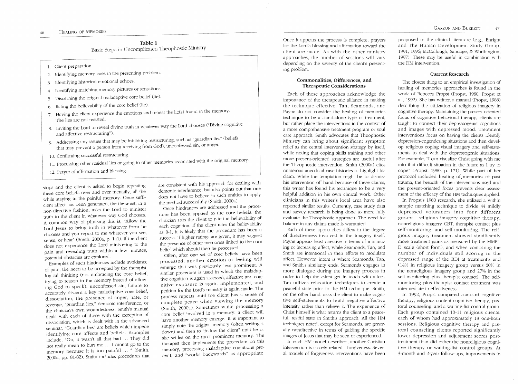## Table 1 Basic Steps in Uncomplicated Theophostic Ministry

1. Client preparation.

- 2. Identifying memory cues in the presenting problem.
- 3. Identifying historical emotional echoes.
- 4. Identifying matching memory pictures or sensations.
- 5. Discerning the original maladaptive core belief (lie).
- 6. Rating the believability of the core belief (lie).
- 7. Having the client experience the emotions and repeat the lie(s) found in the memory. The lies are not resisted.
- 8. Inviting the Lord to reveal divine truth in whatever way the Lord chooses ("Divine cognitive and affective restructuring").
- 9. Addressing any issues that may be inhibiting restructuring, such as "guardian lies" (beliefs that may prevent a person from receiving from God), unconfessed sin, or anger.
- 10. Confirming successful restructuring.
- 11. Processing other residual lies or going to other memories associated with the original memory.
- 12. Prayer of affirmation and blessing.

stops and the client is asked to begin repeating these core beliefs over and over mentally, all the while staying in the painful memory. Once sufficient affect has been generated, the therapist, in a non-directive fashion, asks the Lord to minister truth to the client in whatever way God chooses. A common way of phrasing this is, "Allow the Lord Jesus to bring truth in whatever form he chooses and you report to me whatever you see, sense, or hear" (Smith, 2000a, p. 141). If the client does not experience the Lord ministering to the pain and revealing truth within a few minutes, potential obstacles are explored.

Examples of such hindrances include avoidance of pain, the need to be accepted by the therapist, logical thinking (not embracing the core belief; trying to reason in the memory instead of allowing God to speak), unconfessed sin, failure to accurately discern a key maladaptive core belief, dissociation, the presence of anger, hate, or revenge, "guardian lies," demonic interference, or the clinician's own woundedness. Smith's manual deals with each of these with the exception of dissociation, which is dealt with in the advanced seminar. "Guardian lies" are beliefs which impede identifying core affects and beliefs. Examples include, "Oh, it wasn't all that bad ... They did not really mean to hurt me ... I cannot go to the memory because it is too painful ... " (Smith, 2000a, pp. 81-82). Smith includes procedures that are consistent with his approach for dealing with demonic interference, but also points out that one does not have to believe in such entities to apply the method successfully (Smith, 2000a).

Once hindrances are addressed and the procedure has been applied to the core beliefs, the clinician asks the client to rate the believability of each cognition. If the client rates the believability as 0-1, it is likely that the procedure has been a success. If higher ratings are given, it may suggest the presence of other memories linked to the core belief which should then be processed.

Often, after one set of core beliefs have been processed, another emotion or feeling will emerge that was previously less prominent. A similar procedure is used in which the maladaptive cognition is again assessed, affective and cognitive exposure is again implemented, and petition for the Lord's ministry is again made. The process repeats until the client has a sense of complete peace when viewing the memory (Smith, 2000a). Sometimes while processing a core belief involved in a memory, a client will have another memory emerge. It is important to simply note the original memory (often writing it down) and then to "follow the client" until he or she settles on the most prominent memory. The therapist then implements the procedure on this memory, processing maladaptive cognitions present, and "works backwards" as appropriate. Once it appears the process is complete, prayers for the Lord's blessing and affirmation toward the client are made. As with the other ministry approaches, the number of sessions will vary depending on the severity of the client's presenting problem.

## Commonalities, Differences, and Therapeutic Considerations

Each of these approaches acknowledge the importance of the therapeutic alliance in making the technique effective. Tan, Seamonds, and Payne do not consider the healing of memories technique to be a stand-alone type of treatment, but rather place the interventions in the context of a more comprehensive treatment program or soul care approach. Smith advocates that Theophostic Ministry can bring about significant symptom relief as the central intervention strategy by itself, while noting that coping skills training and other more present-oriented strategies are useful after the Theophostic intervention. Smith (2000a) cites numerous anecdotal case histories to highlight his claim. While the temptation might be to dismiss his intervention off-hand because of these claims, this writer has found his technique to be a very helpful addition in his own clinical work. Other clinicians in this writer's local area have also reported similar results. Currently, case study data and survey research is being done to more fully evaluate the Theophostic approach. The need for balance in any claims made is warranted.

Each of these approaches differs in the degree of directiveness involved in the imagery itself. Payne appears least directive in terms of minimizing or increasing affect, while Seamonds, Tan, and Smith are intentional in their efforts to modulate affect. However, intent is where Seamonds, Tan, and Smith's similarity ends. Seamonds engages in more dialogue during the imagery process in order to help the client get in touch with affect. Tan utilizes relaxation techniques to create a peaceful state prior to the HM technique. Smith, on the other hand, asks the client to make cognitive self-statements to build negative affective intensity rather than relieve it. The experience of Christ himself is what returns the client to a peaceful, restful state in Smith's approach. All the EM techniques noted, except for Seamonds, are generally nondirective in terms of guiding the specific images of Jesus that may be seen or experienced.

In each HM model described, another Christian intervention is closely related-forgiveness. Several models of forgiveness interventions have been proposed in the clinical literature (e.g., Enright and The Human Development Study Group, 1991, 1996; McCullough, Sandage, & Worthington, 1997). These may be useful in combination with the HM intervention.

#### Current Research

The closest thing to an empirical investigation of healing of memories approaches is found in the work of Rebecca Propst (Propst, 1980; Propst et al., 1992). She has written a manual (Propst, 1988) describing the utilization of religious imagery in cognitive therapy. Maintaining the present-oriented focus of cognitive behavioral therapy, clients are taught to connect their depressogenic cognitions and images with depressed mood. Treatment interventions focus on having the clients identify depression-engendering situations and then develop religious coping visual imagery and self-statements to deal with the depressogenic situations. For example, "I can visualize Christ going with me into that difficult situation in the future as I try to cope" (Propst, 1980, p. 171). While part of her protocol included healing of,memories of past trauma, the breadth of the interventions used and the present-oriented focus prevents clear assessment of the efficacy of the HM techniques applied.

In Propst's 1980 research, she utilized a within sample matching technique to divide 44 mildly depressed volunteers into four different groups-religious imagery cognitive therapy, nonreligious imagery CBT, therapist contact plus self-monitoring, and self-monitoring. The religious imagery treatment showed significantly more treatment gains as measured by the MMPI-D scale (short form), and when comparing the number of individuals still scoring in the depressed range of the BDI at treatment's end  $(14\%$  in religious imagery group versus 60% in the nonreligious imagery group and 27% in the self-monitoring plus therapist contact). The selfmonitoring plus therapist contact treatment was intermediate in effectiveness.

In 1992, Propst compared standard cognitive therapy, religious content cognitive therapy, pastoral counseling, and a waiting-list control group. Each group contained 10-11 religious clients, each of whom had approximately 18 one-hour sessions. Religious cognitive therapy and pastoral counseling clients reported significantly lower depression and adjustment scores posttreatment than did either the nonreligious cognitive therapy or waiting-list control groups. At 3-month and 2-year follow-ups, improvements in